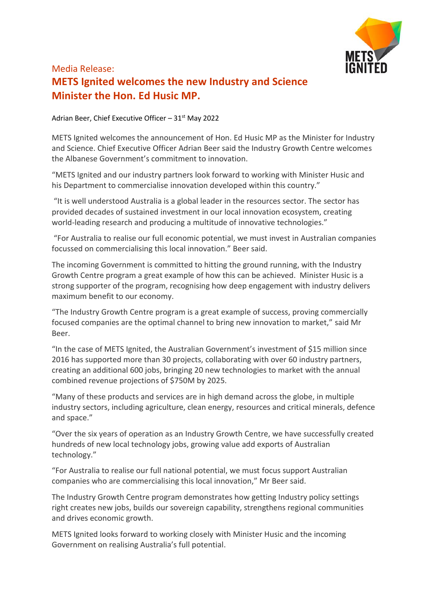

## Media Release: **METS Ignited welcomes the new Industry and Science Minister the Hon. Ed Husic MP.**

Adrian Beer, Chief Executive Officer  $-31<sup>st</sup>$  May 2022

METS Ignited welcomes the announcement of Hon. Ed Husic MP as the Minister for Industry and Science. Chief Executive Officer Adrian Beer said the Industry Growth Centre welcomes the Albanese Government's commitment to innovation.

"METS Ignited and our industry partners look forward to working with Minister Husic and his Department to commercialise innovation developed within this country."

"It is well understood Australia is a global leader in the resources sector. The sector has provided decades of sustained investment in our local innovation ecosystem, creating world-leading research and producing a multitude of innovative technologies."

"For Australia to realise our full economic potential, we must invest in Australian companies focussed on commercialising this local innovation." Beer said.

The incoming Government is committed to hitting the ground running, with the Industry Growth Centre program a great example of how this can be achieved. Minister Husic is a strong supporter of the program, recognising how deep engagement with industry delivers maximum benefit to our economy.

"The Industry Growth Centre program is a great example of success, proving commercially focused companies are the optimal channel to bring new innovation to market," said Mr Beer.

"In the case of METS Ignited, the Australian Government's investment of \$15 million since 2016 has supported more than 30 projects, collaborating with over 60 industry partners, creating an additional 600 jobs, bringing 20 new technologies to market with the annual combined revenue projections of \$750M by 2025.

"Many of these products and services are in high demand across the globe, in multiple industry sectors, including agriculture, clean energy, resources and critical minerals, defence and space."

"Over the six years of operation as an Industry Growth Centre, we have successfully created hundreds of new local technology jobs, growing value add exports of Australian technology."

"For Australia to realise our full national potential, we must focus support Australian companies who are commercialising this local innovation," Mr Beer said.

The Industry Growth Centre program demonstrates how getting Industry policy settings right creates new jobs, builds our sovereign capability, strengthens regional communities and drives economic growth.

METS Ignited looks forward to working closely with Minister Husic and the incoming Government on realising Australia's full potential.